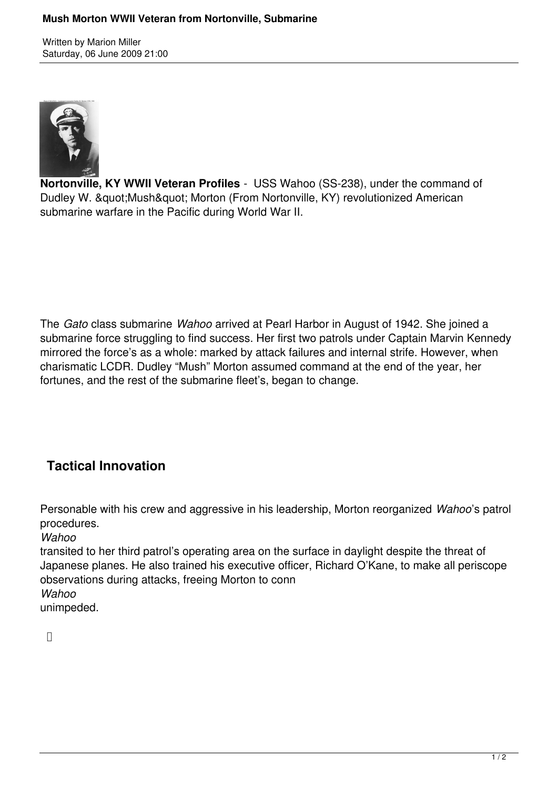Written by Marion Miller Saturday, 06 June 2009 21:00



**Nortonville, KY WWII Veteran Profiles** - USS Wahoo (SS-238), under the command of Dudley W. " Mush" Morton (From Nortonville, KY) revolutionized American submarine warfare in the Pacific during World War II.

The *Gato* class submarine *Wahoo* arrived at Pearl Harbor in August of 1942. She joined a submarine force struggling to find success. Her first two patrols under Captain Marvin Kennedy mirrored the force's as a whole: marked by attack failures and internal strife. However, when charismatic LCDR. Dudley "Mush" Morton assumed command at the end of the year, her fortunes, and the rest of the submarine fleet's, began to change.

## **Tactical Innovation**

Personable with his crew and aggressive in his leadership, Morton reorganized *Wahoo*'s patrol procedures.

*Wahoo*

transited to her third patrol's operating area on the surface in daylight despite the threat of Japanese planes. He also trained his executive officer, Richard O'Kane, to make all periscope observations during attacks, freeing Morton to conn

*Wahoo*

unimpeded.

 $\Box$